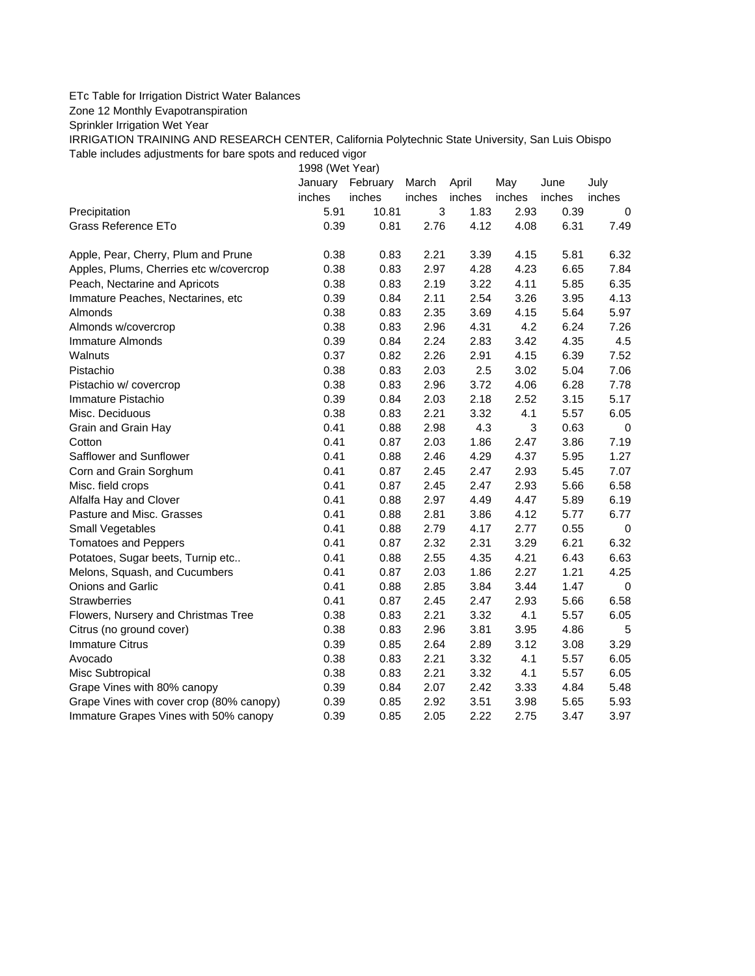## ETc Table for Irrigation District Water Balances

Zone 12 Monthly Evapotranspiration

Sprinkler Irrigation Wet Year

IRRIGATION TRAINING AND RESEARCH CENTER, California Polytechnic State University, San Luis Obispo Table includes adjustments for bare spots and reduced vigor

1998 (Wet Year)

|                                          | January<br>inches | February<br>inches | March<br>inches | April<br>inches | May<br>inches | June<br>inches | July<br>inches |
|------------------------------------------|-------------------|--------------------|-----------------|-----------------|---------------|----------------|----------------|
| Precipitation                            | 5.91              | 10.81              | 3               | 1.83            | 2.93          | 0.39           | 0              |
| <b>Grass Reference ETo</b>               | 0.39              | 0.81               | 2.76            | 4.12            | 4.08          | 6.31           | 7.49           |
| Apple, Pear, Cherry, Plum and Prune      | 0.38              | 0.83               | 2.21            | 3.39            | 4.15          | 5.81           | 6.32           |
| Apples, Plums, Cherries etc w/covercrop  | 0.38              | 0.83               | 2.97            | 4.28            | 4.23          | 6.65           | 7.84           |
| Peach, Nectarine and Apricots            | 0.38              | 0.83               | 2.19            | 3.22            | 4.11          | 5.85           | 6.35           |
| Immature Peaches, Nectarines, etc        | 0.39              | 0.84               | 2.11            | 2.54            | 3.26          | 3.95           | 4.13           |
| Almonds                                  | 0.38              | 0.83               | 2.35            | 3.69            | 4.15          | 5.64           | 5.97           |
| Almonds w/covercrop                      | 0.38              | 0.83               | 2.96            | 4.31            | 4.2           | 6.24           | 7.26           |
| <b>Immature Almonds</b>                  | 0.39              | 0.84               | 2.24            | 2.83            | 3.42          | 4.35           | 4.5            |
| <b>Walnuts</b>                           | 0.37              | 0.82               | 2.26            | 2.91            | 4.15          | 6.39           | 7.52           |
| Pistachio                                | 0.38              | 0.83               | 2.03            | 2.5             | 3.02          | 5.04           | 7.06           |
| Pistachio w/ covercrop                   | 0.38              | 0.83               | 2.96            | 3.72            | 4.06          | 6.28           | 7.78           |
| Immature Pistachio                       | 0.39              | 0.84               | 2.03            | 2.18            | 2.52          | 3.15           | 5.17           |
| Misc. Deciduous                          | 0.38              | 0.83               | 2.21            | 3.32            | 4.1           | 5.57           | 6.05           |
| Grain and Grain Hay                      | 0.41              | 0.88               | 2.98            | 4.3             | 3             | 0.63           | $\mathbf 0$    |
| Cotton                                   | 0.41              | 0.87               | 2.03            | 1.86            | 2.47          | 3.86           | 7.19           |
| Safflower and Sunflower                  | 0.41              | 0.88               | 2.46            | 4.29            | 4.37          | 5.95           | 1.27           |
| Corn and Grain Sorghum                   | 0.41              | 0.87               | 2.45            | 2.47            | 2.93          | 5.45           | 7.07           |
| Misc. field crops                        | 0.41              | 0.87               | 2.45            | 2.47            | 2.93          | 5.66           | 6.58           |
| Alfalfa Hay and Clover                   | 0.41              | 0.88               | 2.97            | 4.49            | 4.47          | 5.89           | 6.19           |
| Pasture and Misc. Grasses                | 0.41              | 0.88               | 2.81            | 3.86            | 4.12          | 5.77           | 6.77           |
| Small Vegetables                         | 0.41              | 0.88               | 2.79            | 4.17            | 2.77          | 0.55           | $\mathbf 0$    |
| <b>Tomatoes and Peppers</b>              | 0.41              | 0.87               | 2.32            | 2.31            | 3.29          | 6.21           | 6.32           |
| Potatoes, Sugar beets, Turnip etc        | 0.41              | 0.88               | 2.55            | 4.35            | 4.21          | 6.43           | 6.63           |
| Melons, Squash, and Cucumbers            | 0.41              | 0.87               | 2.03            | 1.86            | 2.27          | 1.21           | 4.25           |
| Onions and Garlic                        | 0.41              | 0.88               | 2.85            | 3.84            | 3.44          | 1.47           | $\mathbf 0$    |
| <b>Strawberries</b>                      | 0.41              | 0.87               | 2.45            | 2.47            | 2.93          | 5.66           | 6.58           |
| Flowers, Nursery and Christmas Tree      | 0.38              | 0.83               | 2.21            | 3.32            | 4.1           | 5.57           | 6.05           |
| Citrus (no ground cover)                 | 0.38              | 0.83               | 2.96            | 3.81            | 3.95          | 4.86           | 5              |
| <b>Immature Citrus</b>                   | 0.39              | 0.85               | 2.64            | 2.89            | 3.12          | 3.08           | 3.29           |
| Avocado                                  | 0.38              | 0.83               | 2.21            | 3.32            | 4.1           | 5.57           | 6.05           |
| Misc Subtropical                         | 0.38              | 0.83               | 2.21            | 3.32            | 4.1           | 5.57           | 6.05           |
| Grape Vines with 80% canopy              | 0.39              | 0.84               | 2.07            | 2.42            | 3.33          | 4.84           | 5.48           |
| Grape Vines with cover crop (80% canopy) | 0.39              | 0.85               | 2.92            | 3.51            | 3.98          | 5.65           | 5.93           |
| Immature Grapes Vines with 50% canopy    | 0.39              | 0.85               | 2.05            | 2.22            | 2.75          | 3.47           | 3.97           |